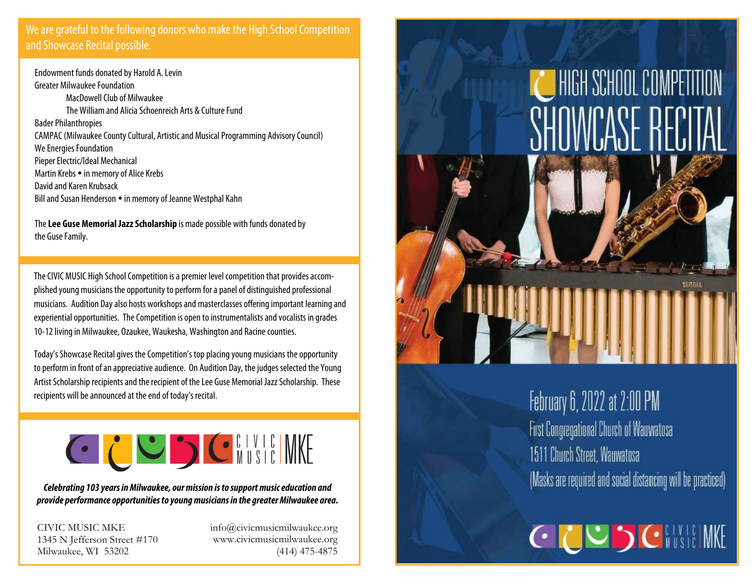## We are grateful to the following donors who make the High School Competition and Showcase Recital possible.

Endowment funds donated by Harold A. Levin Greater Milwaukee Foundation MacDowell Club of Milwaukee The William and Alicia Schoenreich Arts & Culture Fund Bader Philanthropies CAMPAC (Milwaukee County Cultural, Artistic and Musical Programming Advisory Council) We Energies Foundation Pieper Electric/Ideal Mechanical Martin Krebs • in memory of Alice Krebs David and Karen Krubsack Bill and Susan Henderson • in memory of Jeanne Westphal Kahn

The**Lee Guse Memorial Jazz Scholarship** is made possible with funds donated by the Guse Family.

The CIVIC MUSIC High School Competition is a premier level competition that provides accomplished young musicians the opportunity to perform for a panel of distinguished professional musicians. Audition Day also hosts workshops and masterclasses offering important learning and experiential opportunities. The Competition is open to instrumentalists and vocalists in grades 10-12 living in Milwaukee, Ozaukee, Waukesha, Washington and Racine counties.

Today's Showcase Recital gives the Competition's top placing young musicians the opportunity to perform in front of an appreciative audience. On Audition Day, the judges selected the Young Artist Scholarship recipients and the recipient of the Lee Guse Memorial Jazz Scholarship. These recipients will be announced at the end of today's recital.



**Celebrating 103 years in Milwaukee, our mission is to support music education and provide performance opportunities to young musicians in the greater Milwaukee area.** 

CIVIC MUSIC MKE 1345 N Jefferson Street #170 Milwaukee, WI 53202

info@civicmusicmilwaukee.org www.civicmusicmilwaukee.org (414) 475-4875



## February 6, 2022 at 2:00 PM First Congregational Church of Wauwatosa 1511 Church Street, Wauwatosa (Masks are required and social distancing will be practiced)